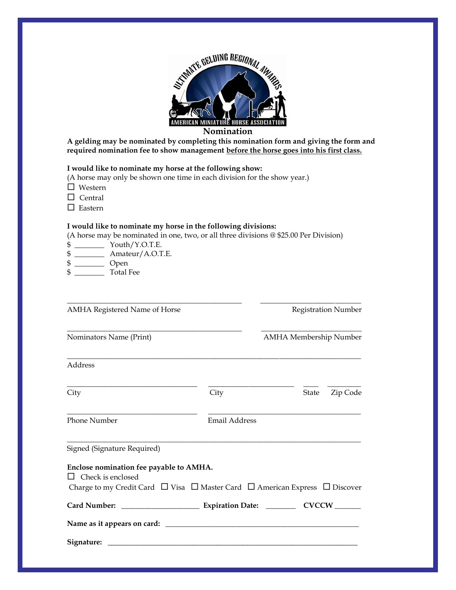

**Nomination**

**A gelding may be nominated by completing this nomination form and giving the form and required nomination fee to show management before the horse goes into his first class.**

### **I would like to nominate my horse at the following show:**

(A horse may only be shown one time in each division for the show year.)

- □ Western
- $\Box$  Central
- $\square$  Eastern

#### **I would like to nominate my horse in the following divisions:**

(A horse may be nominated in one, two, or all three divisions @ \$25.00 Per Division)

\_\_\_\_\_\_\_\_\_\_\_\_\_\_\_\_\_\_\_\_\_\_\_\_\_\_\_\_\_\_\_\_\_\_\_\_\_\_\_\_\_\_\_\_\_\_\_ \_\_\_\_\_\_\_\_\_\_\_\_\_\_\_\_\_\_\_\_\_\_\_\_\_\_\_

\_\_\_\_\_\_\_\_\_\_\_\_\_\_\_\_\_\_\_\_\_\_\_\_\_\_\_\_\_\_\_\_\_\_\_\_\_\_\_\_\_\_\_\_\_\_\_ \_\_\_\_\_\_\_\_\_\_\_\_\_\_\_\_\_\_\_\_\_\_\_\_\_\_\_

\_\_\_\_\_\_\_\_\_\_\_\_\_\_\_\_\_\_\_\_\_\_\_\_\_\_\_\_\_\_\_\_\_\_\_\_\_\_\_\_\_\_\_\_\_\_\_\_\_\_\_\_\_\_\_\_\_\_\_\_\_\_\_\_\_\_\_\_\_\_\_\_\_\_\_\_\_\_\_

- \$ \_\_\_\_\_\_\_\_ Youth/Y.O.T.E.
- \$ \_\_\_\_\_\_\_\_ Amateur/A.O.T.E.
- \$ \_\_\_\_\_\_\_\_ Open
- \$ \_\_\_\_\_\_\_\_ Total Fee

AMHA Registered Name of Horse Registration Number

Nominators Name (Print) AMHA Membership Number

Address

| City                                                                                            | City          | State | Zip Code |
|-------------------------------------------------------------------------------------------------|---------------|-------|----------|
| <b>Phone Number</b>                                                                             | Email Address |       |          |
| Signed (Signature Required)                                                                     |               |       |          |
| Enclose nomination fee payable to AMHA.                                                         |               |       |          |
| $\Box$ Check is enclosed                                                                        |               |       |          |
| Charge to my Credit Card $\Box$ Visa $\Box$ Master Card $\Box$ American Express $\Box$ Discover |               |       |          |
|                                                                                                 |               |       |          |
|                                                                                                 |               |       |          |
|                                                                                                 |               |       |          |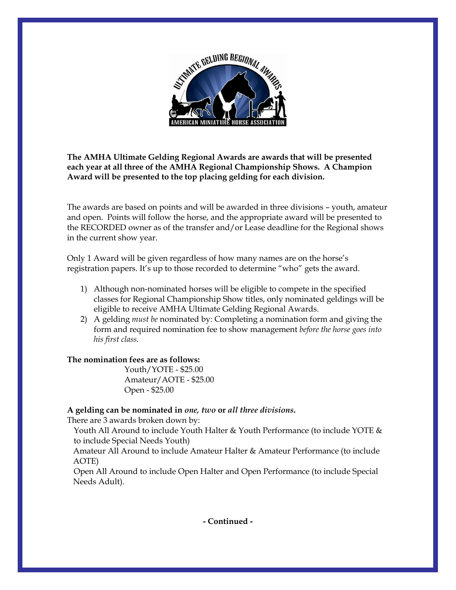

# **The AMHA Ultimate Gelding Regional Awards are awards that will be presented each year at all three of the AMHA Regional Championship Shows. A Champion Award will be presented to the top placing gelding for each division.**

The awards are based on points and will be awarded in three divisions – youth, amateur and open. Points will follow the horse, and the appropriate award will be presented to the RECORDED owner as of the transfer and/or Lease deadline for the Regional shows in the current show year.

Only 1 Award will be given regardless of how many names are on the horse's registration papers. It's up to those recorded to determine "who" gets the award.

- 1) Although non-nominated horses will be eligible to compete in the specified classes for Regional Championship Show titles, only nominated geldings will be eligible to receive AMHA Ultimate Gelding Regional Awards.
- 2) A gelding *must be* nominated by: Completing a nomination form and giving the form and required nomination fee to show management *before the horse goes into his first class.*

## **The nomination fees are as follows:**

 Youth/YOTE - \$25.00 Amateur/AOTE - \$25.00 Open - \$25.00

**A gelding can be nominated in** *one, two* **or** *all three divisions***.**

There are 3 awards broken down by:

Youth All Around to include Youth Halter & Youth Performance (to include YOTE & to include Special Needs Youth)

Amateur All Around to include Amateur Halter & Amateur Performance (to include AOTE)

Open All Around to include Open Halter and Open Performance (to include Special Needs Adult).